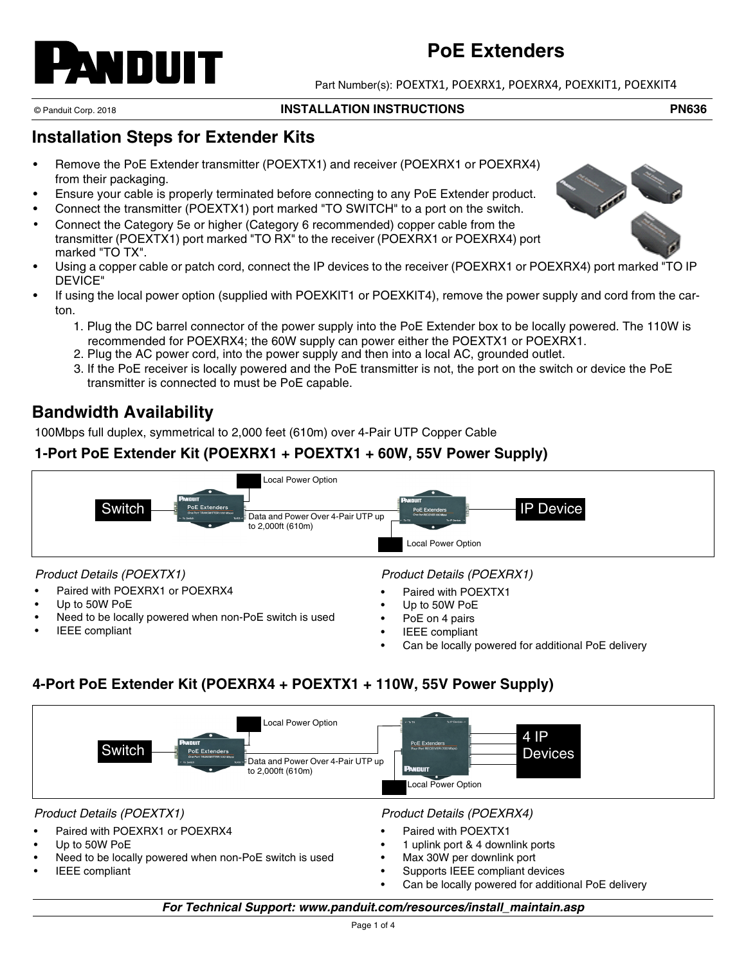# ANDUIT

# **PoE Extenders**

Part Number(s): POEXTX1, POEXRX1, POEXRX4, POEXKIT1, POEXKIT4

#### © Panduit Corp. 2018 **INSTALLATION INSTRUCTIONS PN636**

## **Installation Steps for Extender Kits**

- Remove the PoE Extender transmitter (POEXTX1) and receiver (POEXRX1 or POEXRX4) from their packaging.
- Ensure your cable is properly terminated before connecting to any PoE Extender product.
- Connect the transmitter (POEXTX1) port marked "TO SWITCH" to a port on the switch.
- Connect the Category 5e or higher (Category 6 recommended) copper cable from the transmitter (POEXTX1) port marked "TO RX" to the receiver (POEXRX1 or POEXRX4) port marked "TO TX".
- Using a copper cable or patch cord, connect the IP devices to the receiver (POEXRX1 or POEXRX4) port marked "TO IP DEVICE"
- If using the local power option (supplied with POEXKIT1 or POEXKIT4), remove the power supply and cord from the carton.
	- 1. Plug the DC barrel connector of the power supply into the PoE Extender box to be locally powered. The 110W is recommended for POEXRX4; the 60W supply can power either the POEXTX1 or POEXRX1.
	- 2. Plug the AC power cord, into the power supply and then into a local AC, grounded outlet.
	- 3. If the PoE receiver is locally powered and the PoE transmitter is not, the port on the switch or device the PoE transmitter is connected to must be PoE capable.

# **Bandwidth Availability**

100Mbps full duplex, symmetrical to 2,000 feet (610m) over 4-Pair UTP Copper Cable

## **1-Port PoE Extender Kit (POEXRX1 + POEXTX1 + 60W, 55V Power Supply)**



### *Product Details (POEXTX1)*

- Paired with POEXRX1 or POEXRX4
- Up to 50W PoE
- Need to be locally powered when non-PoE switch is used
- **IEEE** compliant

## *Product Details (POEXRX1)*

- Paired with POEXTX1
- Up to 50W PoE
- PoE on 4 pairs
- **IEEE** compliant
- Can be locally powered for additional PoE delivery

## **4-Port PoE Extender Kit (POEXRX4 + POEXTX1 + 110W, 55V Power Supply)**

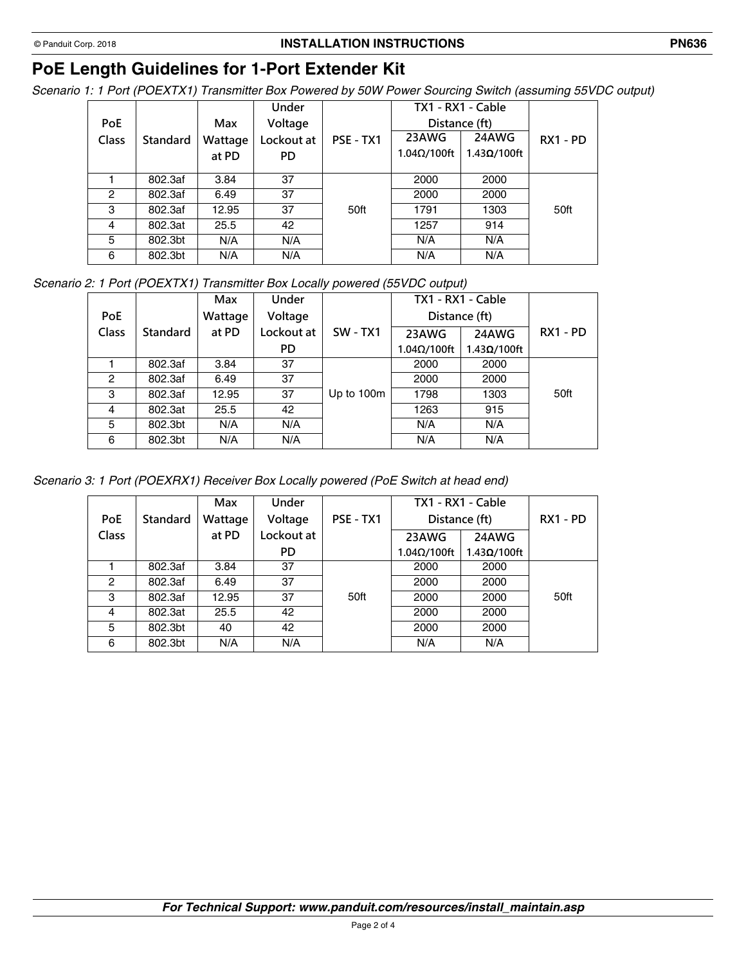#### © Panduit Corp. 2018 **INSTALLATION INSTRUCTIONS PN636**

# **PoE Length Guidelines for 1-Port Extender Kit**

*Scenario 1: 1 Port (POEXTX1) Transmitter Box Powered by 50W Power Sourcing Switch (assuming 55VDC output)*

|                |          |         | Under      |           |                     | TX1 - RX1 - Cable   |            |
|----------------|----------|---------|------------|-----------|---------------------|---------------------|------------|
| PoE            |          | Max     | Voltage    |           | Distance (ft)       |                     |            |
| Class          | Standard | Wattage | Lockout at | PSE - TX1 | 23AWG               | 24AWG               | $RX1 - PD$ |
|                |          | at PD   | PD.        |           | $1.04\Omega/100$ ft | $1.43\Omega/100$ ft |            |
|                |          |         |            |           |                     |                     |            |
|                | 802.3af  | 3.84    | 37         |           | 2000                | 2000                |            |
| $\overline{2}$ | 802.3af  | 6.49    | 37         |           | 2000                | 2000                |            |
| 3              | 802.3af  | 12.95   | 37         | 50ft      | 1791                | 1303                | 50ft       |
| $\overline{4}$ | 802.3at  | 25.5    | 42         |           | 1257                | 914                 |            |
| 5              | 802.3bt  | N/A     | N/A        |           | N/A                 | N/A                 |            |
| 6              | 802.3bt  | N/A     | N/A        |           | N/A                 | N/A                 |            |

*Scenario 2: 1 Port (POEXTX1) Transmitter Box Locally powered (55VDC output)*

|              |                 | Max     | <b>Under</b> |                 |                     | TX1 - RX1 - Cable   |            |
|--------------|-----------------|---------|--------------|-----------------|---------------------|---------------------|------------|
| PoE          |                 | Wattage | Voltage      |                 | Distance (ft)       |                     |            |
| <b>Class</b> | <b>Standard</b> | at PD   | Lockout at   | <b>SW - TX1</b> | 23AWG               | 24AWG               | $RX1 - PD$ |
|              |                 |         | PD           |                 | $1.04\Omega/100$ ft | $1.43\Omega/100$ ft |            |
|              | 802.3af         | 3.84    | 37           |                 | 2000                | 2000                |            |
| 2            | 802.3af         | 6.49    | 37           |                 | 2000                | 2000                |            |
| 3            | 802.3af         | 12.95   | 37           | Up to 100m      | 1798                | 1303                | 50ft       |
| 4            | 802.3at         | 25.5    | 42           |                 | 1263                | 915                 |            |
| 5            | 802.3bt         | N/A     | N/A          |                 | N/A                 | N/A                 |            |
| 6            | 802.3bt         | N/A     | N/A          |                 | N/A                 | N/A                 |            |

*Scenario 3: 1 Port (POEXRX1) Receiver Box Locally powered (PoE Switch at head end)*

|              |                 | Max     | Under      |           | TX1 - RX1 - Cable   |                     |            |
|--------------|-----------------|---------|------------|-----------|---------------------|---------------------|------------|
| <b>PoE</b>   | <b>Standard</b> | Wattage | Voltage    | PSE - TX1 | Distance (ft)       |                     | $RX1 - PD$ |
| <b>Class</b> |                 | at PD   | Lockout at |           | 23AWG               | 24AWG               |            |
|              |                 |         | PD.        |           | $1.04\Omega/100$ ft | $1.43\Omega/100$ ft |            |
|              | 802.3af         | 3.84    | 37         |           | 2000                | 2000                |            |
| 2            | 802.3af         | 6.49    | 37         |           | 2000                | 2000                |            |
| 3            | 802.3af         | 12.95   | 37         | 50ft      | 2000                | 2000                | 50ft       |
| 4            | 802.3at         | 25.5    | 42         |           | 2000                | 2000                |            |
| 5            | 802.3bt         | 40      | 42         |           | 2000                | 2000                |            |
| 6            | 802.3bt         | N/A     | N/A        |           | N/A                 | N/A                 |            |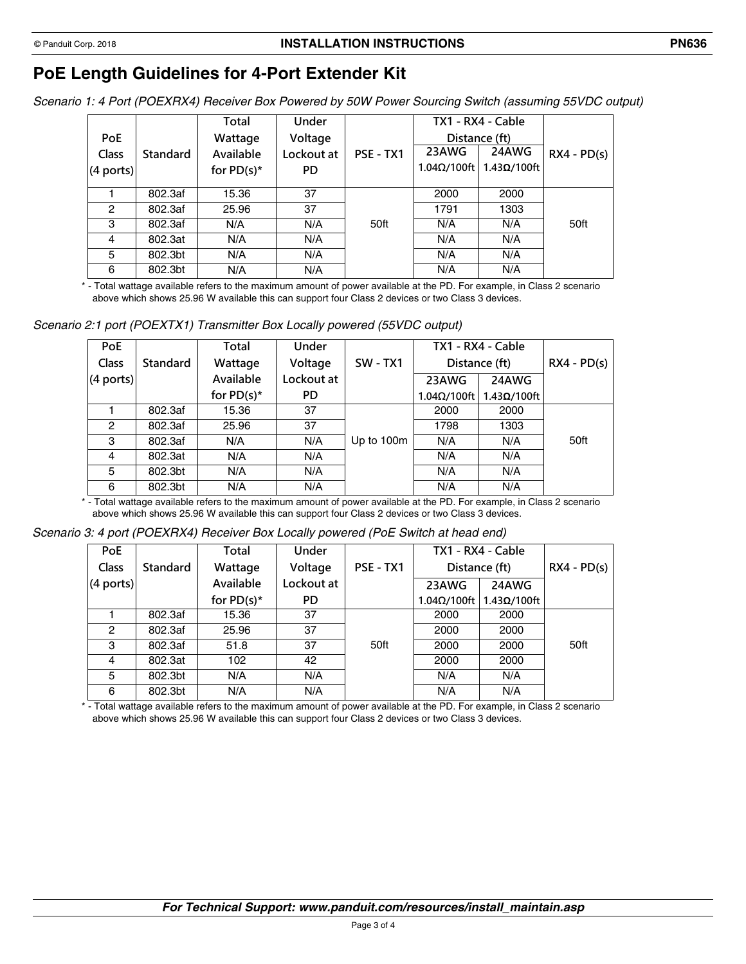# **PoE Length Guidelines for 4-Port Extender Kit**

*Scenario 1: 4 Port (POEXRX4) Receiver Box Powered by 50W Power Sourcing Switch (assuming 55VDC output)*

|               |                 | Total         | Under      |           |                     | TX1 - RX4 - Cable   |               |
|---------------|-----------------|---------------|------------|-----------|---------------------|---------------------|---------------|
| <b>PoE</b>    |                 | Wattage       | Voltage    |           |                     | Distance (ft)       |               |
| <b>Class</b>  | <b>Standard</b> | Available     | Lockout at | PSE - TX1 | 23AWG               | 24AWG               | $RX4 - PD(s)$ |
| $(4$ ports)   |                 | for $PD(s)^*$ | PD         |           | $1.04\Omega/100$ ft | $1.43\Omega/100$ ft |               |
|               |                 |               |            |           |                     |                     |               |
|               | 802.3af         | 15.36         | 37         |           | 2000                | 2000                |               |
| $\mathcal{P}$ | 802.3af         | 25.96         | 37         |           | 1791                | 1303                |               |
| 3             | 802.3af         | N/A           | N/A        | 50ft      | N/A                 | N/A                 | 50ft          |
| 4             | 802.3at         | N/A           | N/A        |           | N/A                 | N/A                 |               |
| 5             | 802.3bt         | N/A           | N/A        |           | N/A                 | N/A                 |               |
| 6             | 802.3bt         | N/A           | N/A        |           | N/A                 | N/A                 |               |

\* - Total wattage available refers to the maximum amount of power available at the PD. For example, in Class 2 scenario above which shows 25.96 W available this can support four Class 2 devices or two Class 3 devices.

*Scenario 2:1 port (POEXTX1) Transmitter Box Locally powered (55VDC output)*

| <b>PoE</b>   |                 | Total         | Under      |            |                     | TX1 - RX4 - Cable   |               |
|--------------|-----------------|---------------|------------|------------|---------------------|---------------------|---------------|
| <b>Class</b> | <b>Standard</b> | Wattage       | Voltage    | $SW - TX1$ | Distance (ft)       |                     | $RX4 - PD(s)$ |
| $(4$ ports)  |                 | Available     | Lockout at |            | 23AWG               | 24AWG               |               |
|              |                 | for $PD(s)^*$ | PD.        |            | $1.04\Omega/100$ ft | $1.43\Omega/100$ ft |               |
|              | 802.3af         | 15.36         | 37         |            | 2000                | 2000                |               |
| 2            | 802.3af         | 25.96         | 37         |            | 1798                | 1303                |               |
| 3            | 802.3af         | N/A           | N/A        | Up to 100m | N/A                 | N/A                 | 50ft          |
| 4            | 802.3at         | N/A           | N/A        |            | N/A                 | N/A                 |               |
| 5            | 802.3bt         | N/A           | N/A        |            | N/A                 | N/A                 |               |
| 6            | 802.3bt         | N/A           | N/A        |            | N/A                 | N/A                 |               |

\* - Total wattage available refers to the maximum amount of power available at the PD. For example, in Class 2 scenario above which shows 25.96 W available this can support four Class 2 devices or two Class 3 devices.

*Scenario 3: 4 port (POEXRX4) Receiver Box Locally powered (PoE Switch at head end)*

| <b>PoE</b>   |                 | Total         | Under      |           |                     | TX1 - RX4 - Cable   |               |
|--------------|-----------------|---------------|------------|-----------|---------------------|---------------------|---------------|
| <b>Class</b> | <b>Standard</b> | Wattage       | Voltage    | PSE - TX1 | Distance (ft)       |                     | $RX4 - PD(s)$ |
| $(4$ ports)  |                 | Available     | Lockout at |           | 23AWG               | 24AWG               |               |
|              |                 | for $PD(s)^*$ | PD         |           | $1.04\Omega/100$ ft | $1.43\Omega/100$ ft |               |
|              | 802.3af         | 15.36         | 37         |           | 2000                | 2000                |               |
| 2            | 802.3af         | 25.96         | 37         |           | 2000                | 2000                |               |
| 3            | 802.3af         | 51.8          | 37         | 50ft      | 2000                | 2000                | 50ft          |
| 4            | 802.3at         | 102           | 42         |           | 2000                | 2000                |               |
| 5            | 802.3bt         | N/A           | N/A        |           | N/A                 | N/A                 |               |
| 6            | 802.3bt         | N/A           | N/A        |           | N/A                 | N/A                 |               |

\* - Total wattage available refers to the maximum amount of power available at the PD. For example, in Class 2 scenario above which shows 25.96 W available this can support four Class 2 devices or two Class 3 devices.